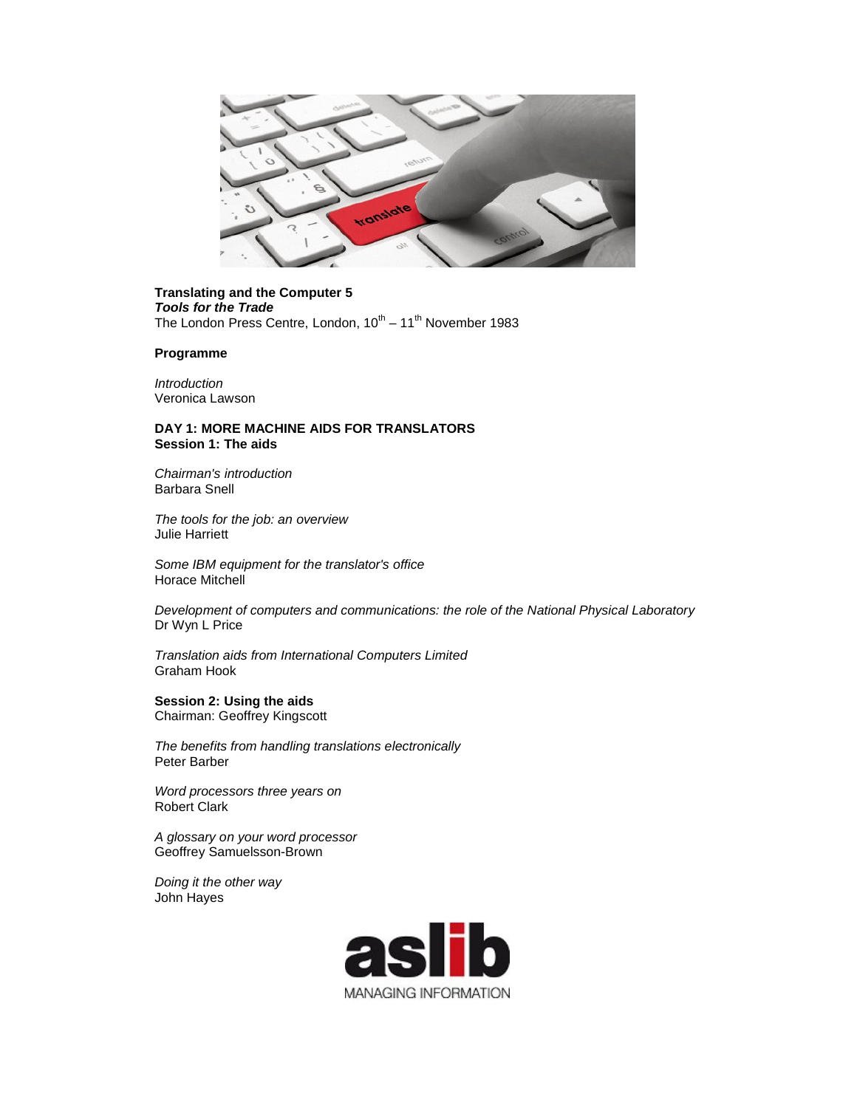

## **Translating and the Computer 5** *Tools for the Trade* The London Press Centre, London,  $10^{th} - 11^{th}$  November 1983

## **Programme**

*Introduction*  Veronica Lawson

## **DAY 1: MORE MACHINE AIDS FOR TRANSLATORS Session 1: The aids**

*Chairman's introduction* Barbara Snell

*The tools for the job: an overview* Julie Harriett

*Some IBM equipment for the translator's office* Horace Mitchell

*Development of computers and communications: the role of the National Physical Laboratory*  Dr Wyn L Price

*Translation aids from International Computers Limited* Graham Hook

**Session 2: Using the aids** Chairman: Geoffrey Kingscott

*The benefits from handling translations electronically* Peter Barber

*Word processors three years on*  Robert Clark

*A glossary on your word processor*  Geoffrey Samuelsson-Brown

*Doing it the other way*  John Hayes

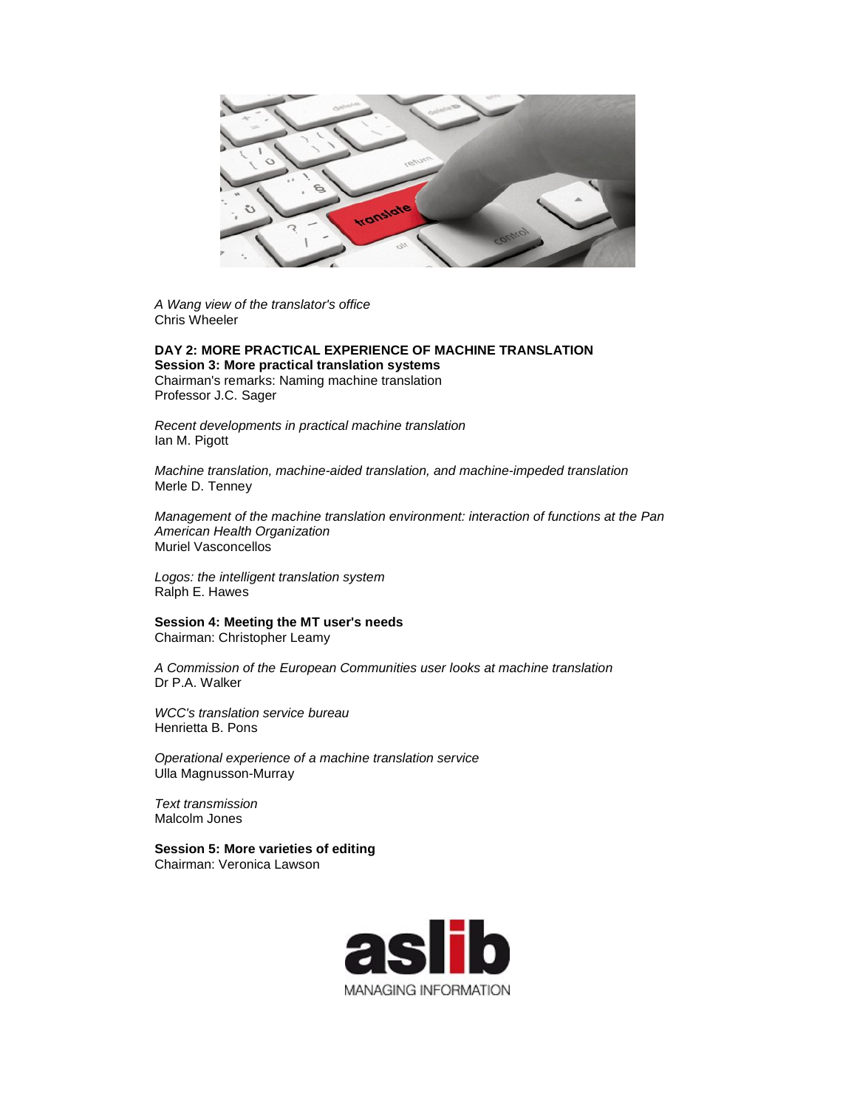

*A Wang view of the translator's office* Chris Wheeler

## **DAY 2: MORE PRACTICAL EXPERIENCE OF MACHINE TRANSLATION**

**Session 3: More practical translation systems** Chairman's remarks: Naming machine translation Professor J.C. Sager

*Recent developments in practical machine translation*  Ian M. Pigott

*Machine translation, machine-aided translation, and machine-impeded translation*  Merle D. Tenney

*Management of the machine translation environment: interaction of functions at the Pan American Health Organization*  Muriel Vasconcellos

*Logos: the intelligent translation system*  Ralph E. Hawes

**Session 4: Meeting the MT user's needs** Chairman: Christopher Leamy

*A Commission of the European Communities user looks at machine translation*  Dr P.A. Walker

*WCC's translation service bureau*  Henrietta B. Pons

*Operational experience of a machine translation service*  Ulla Magnusson-Murray

*Text transmission* Malcolm Jones

**Session 5: More varieties of editing** Chairman: Veronica Lawson